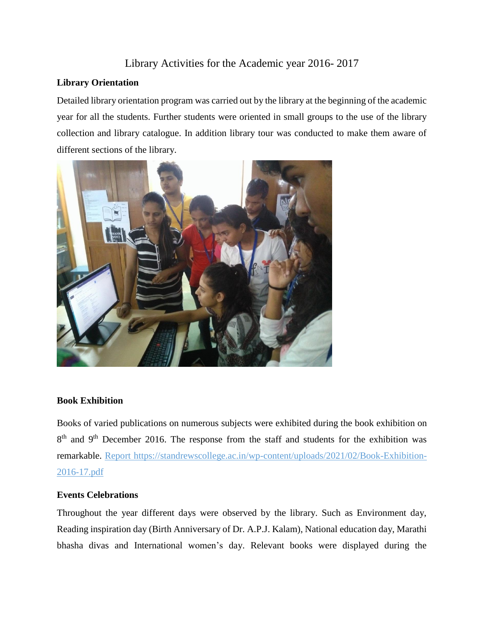# Library Activities for the Academic year 2016- 2017

## **Library Orientation**

Detailed library orientation program was carried out by the library at the beginning of the academic year for all the students. Further students were oriented in small groups to the use of the library collection and library catalogue. In addition library tour was conducted to make them aware of different sections of the library.



#### **Book Exhibition**

Books of varied publications on numerous subjects were exhibited during the book exhibition on 8<sup>th</sup> and 9<sup>th</sup> December 2016. The response from the staff and students for the exhibition was remarkable. Report https://standrewscollege.ac.in/wp-content/uploads/2021/02/Book-Exhibition-2016-17.pdf

#### **Events Celebrations**

Throughout the year different days were observed by the library. Such as Environment day, Reading inspiration day (Birth Anniversary of Dr. A.P.J. Kalam), National education day, Marathi bhasha divas and International women's day. Relevant books were displayed during the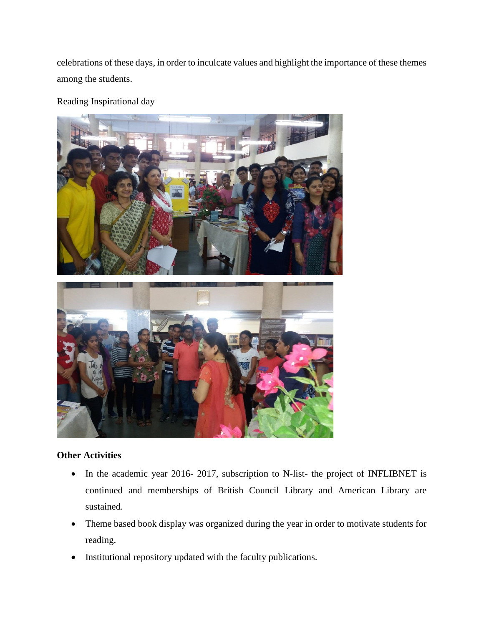celebrations of these days, in order to inculcate values and highlight the importance of these themes among the students.

Reading Inspirational day



## **Other Activities**

- In the academic year 2016- 2017, subscription to N-list- the project of INFLIBNET is continued and memberships of British Council Library and American Library are sustained.
- Theme based book display was organized during the year in order to motivate students for reading.
- Institutional repository updated with the faculty publications.